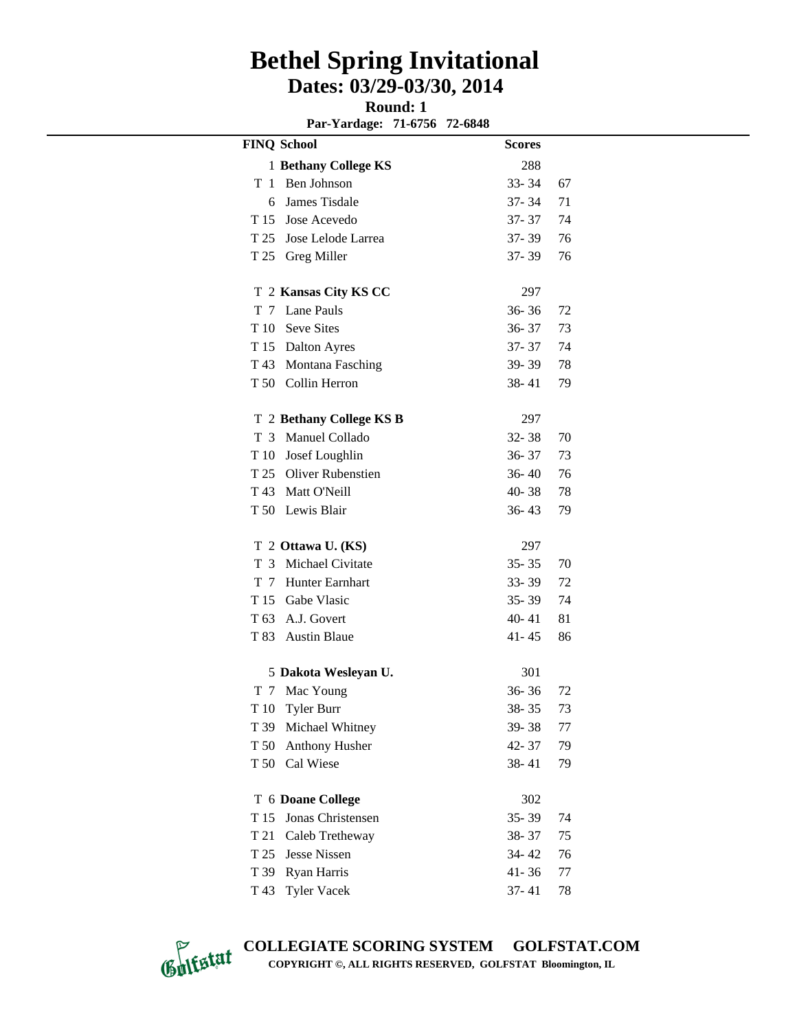#### **Round: 1**

**Par-Yardage: 71-6756 72-6848**

|         | <b>FINQ School</b>                  | <b>Scores</b> |    |
|---------|-------------------------------------|---------------|----|
|         | 1 Bethany College KS                | 288           |    |
| T<br>-1 | Ben Johnson                         | $33 - 34$     | 67 |
| 6       | James Tisdale                       | 37-34         | 71 |
|         | T 15 Jose Acevedo                   | 37-37         | 74 |
|         | T 25 Jose Lelode Larrea             | $37 - 39$     | 76 |
|         | T 25 Greg Miller                    | $37 - 39$     | 76 |
|         |                                     |               |    |
|         | T 2 Kansas City KS CC<br>Lane Pauls | 297           |    |
| T 7     |                                     | $36 - 36$     | 72 |
|         | T 10 Seve Sites                     | $36 - 37$     | 73 |
|         | T 15 Dalton Ayres                   | 37- 37        | 74 |
|         | T 43 Montana Fasching               | 39-39         | 78 |
|         | T 50 Collin Herron                  | 38-41         | 79 |
|         | T 2 Bethany College KS B            | 297           |    |
| T 3     | Manuel Collado                      | $32 - 38$     | 70 |
|         | T 10 Josef Loughlin                 | $36 - 37$     | 73 |
|         | T 25 Oliver Rubenstien              | $36 - 40$     | 76 |
|         | T 43 Matt O'Neill                   | 40-38         | 78 |
|         | T 50 Lewis Blair                    | $36 - 43$     | 79 |
|         | T 2 Ottawa U. (KS)                  | 297           |    |
|         | T 3 Michael Civitate                | $35 - 35$     | 70 |
|         | T 7 Hunter Earnhart                 | $33 - 39$     | 72 |
|         | T 15 Gabe Vlasic                    | $35 - 39$     | 74 |
|         | T 63 A.J. Govert                    | $40 - 41$     | 81 |
|         | T 83 Austin Blaue                   | 41 - 45       | 86 |
|         | 5 Dakota Wesleyan U.                | 301           |    |
| T 7     | Mac Young                           | $36 - 36$     | 72 |
|         | T 10 Tyler Burr                     | 38-35         | 73 |
| T 39    | Michael Whitney                     | 39-38         | 77 |
| T 50    | Anthony Husher                      | 42-37         | 79 |
| T 50    | Cal Wiese                           | $38 - 41$     | 79 |
|         |                                     |               |    |
|         | T 6 Doane College                   | 302           |    |
| T 15    | Jonas Christensen                   | $35 - 39$     | 74 |
| T 21    | Caleb Tretheway                     | 38-37         | 75 |
| T 25    | Jesse Nissen                        | 34-42         | 76 |
| T 39    | Ryan Harris                         | $41 - 36$     | 77 |
| T 43    | <b>Tyler Vacek</b>                  | $37 - 41$     | 78 |



**COLLEGIATE SCORING SYSTEM GOLFSTAT.COM COPYRIGHT ©, ALL RIGHTS RESERVED, GOLFSTAT Bloomington, IL**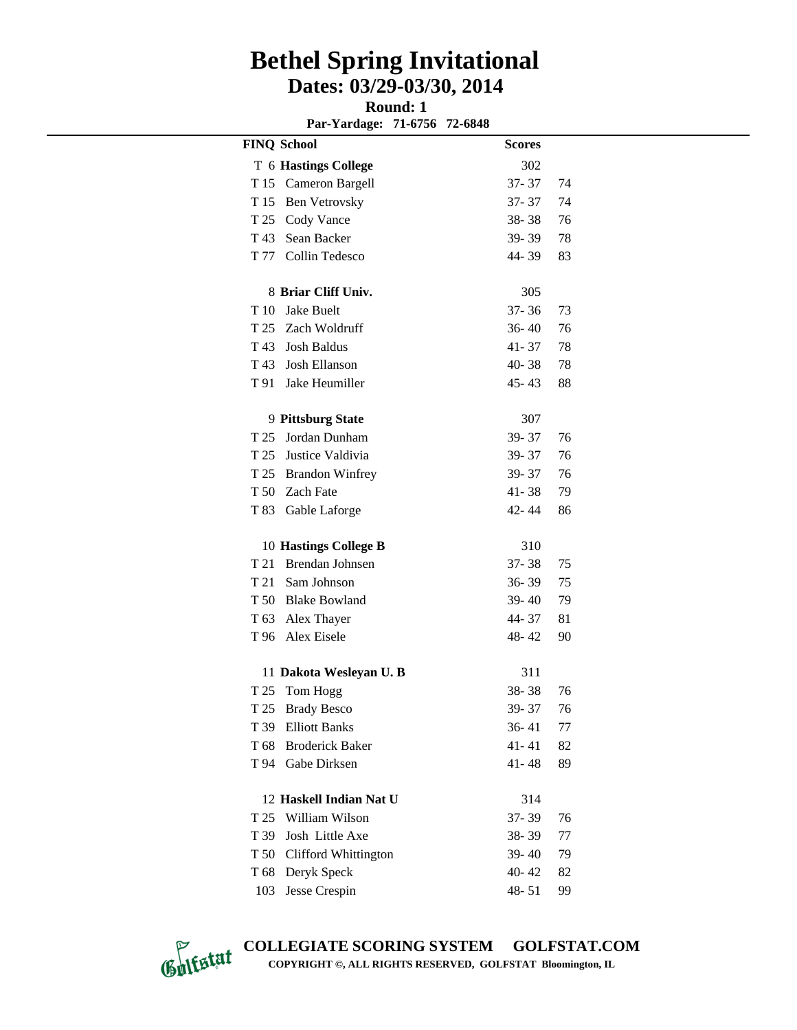**Round: 1** 

**Par-Yardage: 71-6756 72-6848**

| <b>FINQ School</b> |                             | <b>Scores</b> |    |
|--------------------|-----------------------------|---------------|----|
|                    | T 6 Hastings College        | 302           |    |
| T 15               | Cameron Bargell             | $37 - 37$     | 74 |
| T 15               | <b>Ben Vetrovsky</b>        | $37 - 37$     | 74 |
|                    | T 25 Cody Vance             | $38 - 38$     | 76 |
|                    | T 43 Sean Backer            | $39 - 39$     | 78 |
|                    | T 77 Collin Tedesco         | 44-39         | 83 |
|                    | 8 Briar Cliff Univ.         | 305           |    |
|                    | T 10 Jake Buelt             | $37 - 36$     | 73 |
|                    | T 25 Zach Woldruff          | $36 - 40$     | 76 |
|                    | T 43 Josh Baldus            | $41 - 37$     | 78 |
|                    | T 43 Josh Ellanson          | 40-38         | 78 |
| T 91               | Jake Heumiller              | $45 - 43$     | 88 |
|                    | 9 Pittsburg State           | 307           |    |
| T 25               | Jordan Dunham               | 39-37         | 76 |
|                    | T 25 Justice Valdivia       | $39 - 37$     | 76 |
|                    | T 25 Brandon Winfrey        | $39 - 37$     | 76 |
|                    | T 50 Zach Fate              | $41 - 38$     | 79 |
| T 83               | Gable Laforge               | 42-44         | 86 |
|                    | 10 Hastings College B       | 310           |    |
| T 21               | Brendan Johnsen             | $37 - 38$     | 75 |
|                    | T 21 Sam Johnson            | $36 - 39$     | 75 |
|                    | T 50 Blake Bowland          | $39 - 40$     | 79 |
|                    | T 63 Alex Thayer            | 44-37         | 81 |
|                    | T 96 Alex Eisele            | $48 - 42$     | 90 |
|                    | 11 Dakota Wesleyan U.B      | 311           |    |
| T 25               | Tom Hogg                    | $38 - 38$     | 76 |
| T 25               | <b>Brady Besco</b>          | 39-37         | 76 |
| T 39               | <b>Elliott Banks</b>        | $36 - 41$     | 77 |
| T 68               | <b>Broderick Baker</b>      | $41 - 41$     | 82 |
| T 94               | Gabe Dirksen                | $41 - 48$     | 89 |
|                    | 12 Haskell Indian Nat U     | 314           |    |
| T 25               | William Wilson              | 37-39         | 76 |
| T 39               | Josh Little Axe             | 38-39         | 77 |
| T 50               | <b>Clifford Whittington</b> | 39-40         | 79 |
| T 68               | Deryk Speck                 | $40 - 42$     | 82 |
| 103                | Jesse Crespin               | $48 - 51$     | 99 |

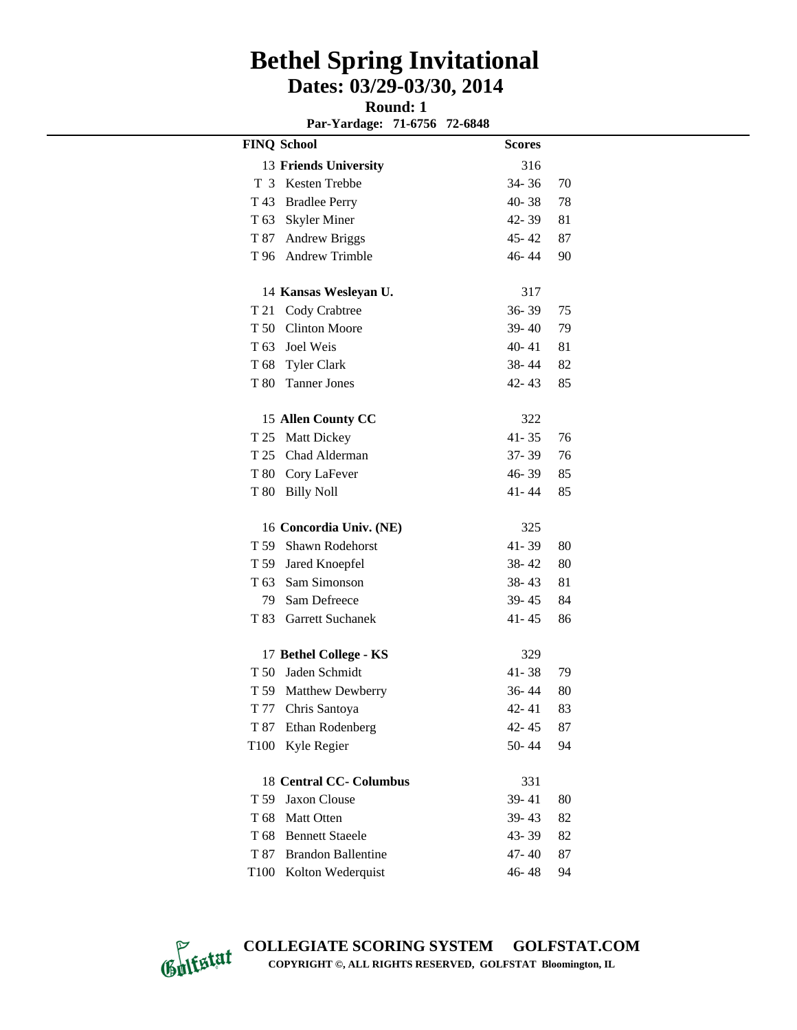**Round: 1** 

**Par-Yardage: 71-6756 72-6848**

| 13 Friends University<br>316                       |    |
|----------------------------------------------------|----|
|                                                    |    |
| Kesten Trebbe<br>34-36<br>T <sub>3</sub>           | 70 |
| 40-38<br>T 43<br><b>Bradlee Perry</b>              | 78 |
| T 63<br><b>Skyler Miner</b><br>$42 - 39$           | 81 |
| <b>Andrew Briggs</b><br>$45 - 42$<br>T 87          | 87 |
| T 96 Andrew Trimble<br>46-44                       | 90 |
| 317<br>14 Kansas Wesleyan U.                       |    |
| 36-39<br>T 21<br>Cody Crabtree                     | 75 |
| <b>Clinton Moore</b><br>T 50<br>39-40              | 79 |
| T 63 Joel Weis<br>$40 - 41$                        | 81 |
| T 68 Tyler Clark<br>38-44                          | 82 |
| T 80<br><b>Tanner Jones</b><br>$42 - 43$           | 85 |
| 15 Allen County CC<br>322                          |    |
| T 25<br><b>Matt Dickey</b><br>$41 - 35$            | 76 |
| $37 - 39$<br>T 25 Chad Alderman                    | 76 |
| T 80 Cory LaFever<br>46-39                         | 85 |
| <b>Billy Noll</b><br>T 80<br>$41 - 44$             | 85 |
|                                                    |    |
| 16 Concordia Univ. (NE)<br>325                     |    |
| T 59<br>$41 - 39$<br><b>Shawn Rodehorst</b>        | 80 |
| T 59<br>Jared Knoepfel<br>$38 - 42$                | 80 |
| Sam Simonson<br>T 63<br>$38 - 43$                  | 81 |
| Sam Defreece<br>79<br>39-45                        | 84 |
| T 83<br><b>Garrett Suchanek</b><br>$41 - 45$       | 86 |
| 17 Bethel College - KS<br>329                      |    |
| Jaden Schmidt<br>T 50<br>$41 - 38$                 | 79 |
| 36-44<br>T 59 Matthew Dewberry                     | 80 |
| T 77<br>$42 - 41$<br>Chris Santoya                 | 83 |
| T 87<br>Ethan Rodenberg<br>42-45                   | 87 |
| T <sub>100</sub><br>Kyle Regier<br>50-44           | 94 |
| <b>18 Central CC- Columbus</b><br>331              |    |
| T 59<br><b>Jaxon Clouse</b><br>39-41               | 80 |
| T 68<br>Matt Otten<br>39-43                        | 82 |
| T <sub>68</sub><br><b>Bennett Staeele</b><br>43-39 | 82 |
| T 87<br><b>Brandon Ballentine</b><br>47-40         | 87 |
| T <sub>100</sub><br>Kolton Wederquist<br>46-48     | 94 |



**COLLEGIATE SCORING SYSTEM GOLFSTAT.COM COPYRIGHT ©, ALL RIGHTS RESERVED, GOLFSTAT Bloomington, IL**